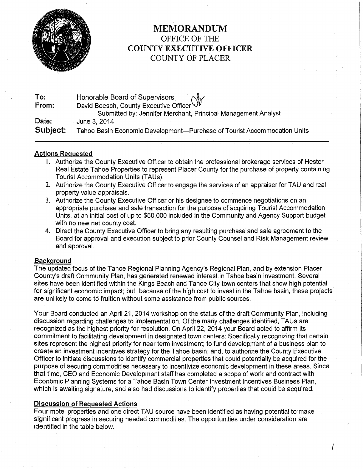

# MEMORANDUM OFFICE OF THE COUNTY EXECUTIVE OFFICER COUNTY OF PLACER

| To:      |                                                                                                            |
|----------|------------------------------------------------------------------------------------------------------------|
| From:    | David Boesch, County Executive Officer Officer Submitted by The County Executive Officer Officer Officer O |
|          | Submitted by: Jennifer Merchant, Principal Management Analyst                                              |
| Date:    | June 3, 2014                                                                                               |
| Subject: | Tahoe Basin Economic Development—Purchase of Tourist Accommodation Units                                   |

### Actions Requested

- I. Authorize the County Executive Officer to obtain the professional brokerage services of Hester Real Estate Tahoe Properties to represent Placer County for the purchase of property containing Tourist Accommodation Units (TAUs).
- 2. Authorize the County Executive Officer to engage the services of an appraiser for TAU and real property value appraisals.
- 3. Authorize the County Executive Officer or his designee to commence negotiations on an appropriate purchase and sale transaction for the purpose of acquiring Tourist Accommodation Units, at an initial cost of up to \$50,000 included in the Community and Agency Support budget with no new net county cost.
- 4. Direct the County Executive Officer to bring any resulting purchase and sale agreement to the Board for approval and execution subject to prior County Counsel and Risk Management review and approval.

#### **Background**

The updated focus of the Tahoe Regional Planning Agency's Regional Plan, and by extension Placer County's draft Community Plan, has generated renewed interest in Tahoe basin investment. Several sites have been identified within the Kings Beach and Tahoe City town centers that show high potential for significant economic impact; but, because of the high cost to invest in the Tahoe basin, these projects are unlikely to come to fruition without some assistance from public sources.

Your Board conducted an April 21, 2014 workshop on the status of the draft Community Plan, including discussion regarding challenges to implementation. Of the many challenges identified, TAUs are recognized as the highest priority for resolution. On April 22, 2014 your Board acted to affirm its commitment to facilitating development in designated town centers: Specifically recognizing that certain sites represent the highest priority for near term investment; to fund development of a business plan to create an investment incentives strategy for the Tahoe basin; and, to authorize the County Executive Officer to initiate discussions to identify commercial properties that could potentially be acquired for the purpose of securing commodities necessary to incentivize economic development in these areas. Since that time, CEO and Economic Development staff has completed a scope of work and contract with Economic Planning Systems for a Tahoe Basin Town Center Investment Incentives Business Plan, which is awaiting signature, and also had discussions to identify properties that could be acquired.

#### Discussion of Requested Actions

Four motel properties and one direct TAU source have been identified as having potential to make significant progress in securing needed commodities. The opportunities under consideration are identified in the table below.